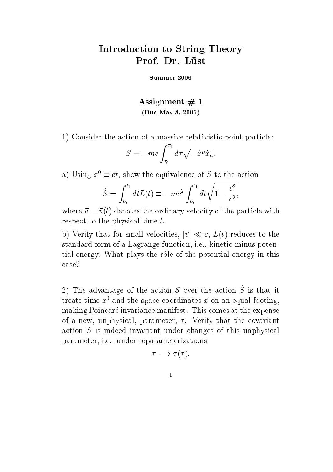## Introdu
tion to String Theory Prof. Dr. Lust

Summer 2006

Assignment  $# 1$ (Due May 8, 2006)

1) Consider the a
tion of <sup>a</sup> massive relativisti point parti
le:

$$
S = -mc \int_{\tau_0}^{\tau_1} d\tau \sqrt{-\dot{x}^{\mu} \dot{x}_{\mu}}.
$$

a) Using  $x^* \equiv ct$ , show the equivalence of S to the action

$$
\hat{S} = \int_{t_0}^{t_1} dt L(t) \equiv -mc^2 \int_{t_0}^{t_1} dt \sqrt{1 - \frac{\vec{v}^2}{c^2}},
$$

it are a control the ordinary velocity of the parties the ordinary velocity of the parties of the parties of the respe
t to the physi
al time t.

ities, the form it is small velocity to the form it is the small velocity of the small velocity of  $\mathcal{L}$ standard form of <sup>a</sup> Lagrange fun
tion, i.e., kineti minus potential energy. What plays the role of the potential energy in this potential energy in this the potential energy in this case of the potential energy in this case of the potential energy in the potential energy in this case case?

 $\omega$ ) The advantage of the action  $\omega$  over the action  $\omega$  is that it treats time  $x^*$  and the space coordinates  $x$  on an equal footing, making Poin
are invarian
e manifest. This omes at the expense of <sup>a</sup> new, unphysi
al, parameter, . Verify that the ovariant tion s is in the set of the set of the set of the set  $\pi$  is the set of the set of the set of the set of the parameter, i.e., under reparameterizations

$$
\tau \longrightarrow \tilde{\tau}(\tau).
$$

1